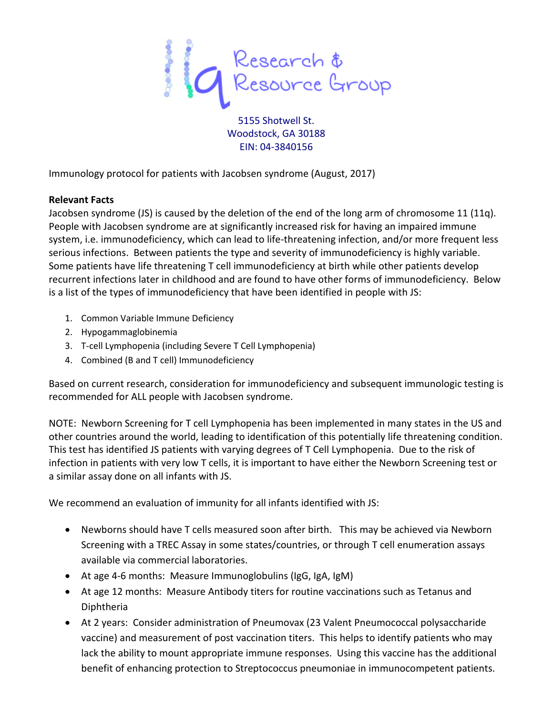

5155 Shotwell St. Woodstock, GA 30188 EIN: 04-3840156

Immunology protocol for patients with Jacobsen syndrome (August, 2017)

## **Relevant Facts**

Jacobsen syndrome (JS) is caused by the deletion of the end of the long arm of chromosome 11 (11q). People with Jacobsen syndrome are at significantly increased risk for having an impaired immune system, i.e. immunodeficiency, which can lead to life-threatening infection, and/or more frequent less serious infections. Between patients the type and severity of immunodeficiency is highly variable. Some patients have life threatening T cell immunodeficiency at birth while other patients develop recurrent infections later in childhood and are found to have other forms of immunodeficiency. Below is a list of the types of immunodeficiency that have been identified in people with JS:

- 1. Common Variable Immune Deficiency
- 2. Hypogammaglobinemia
- 3. T-cell Lymphopenia (including Severe T Cell Lymphopenia)
- 4. Combined (B and T cell) Immunodeficiency

Based on current research, consideration for immunodeficiency and subsequent immunologic testing is recommended for ALL people with Jacobsen syndrome.

NOTE: Newborn Screening for T cell Lymphopenia has been implemented in many states in the US and other countries around the world, leading to identification of this potentially life threatening condition. This test has identified JS patients with varying degrees of T Cell Lymphopenia. Due to the risk of infection in patients with very low T cells, it is important to have either the Newborn Screening test or a similar assay done on all infants with JS.

We recommend an evaluation of immunity for all infants identified with JS:

- Newborns should have T cells measured soon after birth. This may be achieved via Newborn Screening with a TREC Assay in some states/countries, or through T cell enumeration assays available via commercial laboratories.
- At age 4-6 months: Measure Immunoglobulins (IgG, IgA, IgM)
- At age 12 months: Measure Antibody titers for routine vaccinations such as Tetanus and Diphtheria
- At 2 years: Consider administration of Pneumovax (23 Valent Pneumococcal polysaccharide vaccine) and measurement of post vaccination titers. This helps to identify patients who may lack the ability to mount appropriate immune responses. Using this vaccine has the additional benefit of enhancing protection to Streptococcus pneumoniae in immunocompetent patients.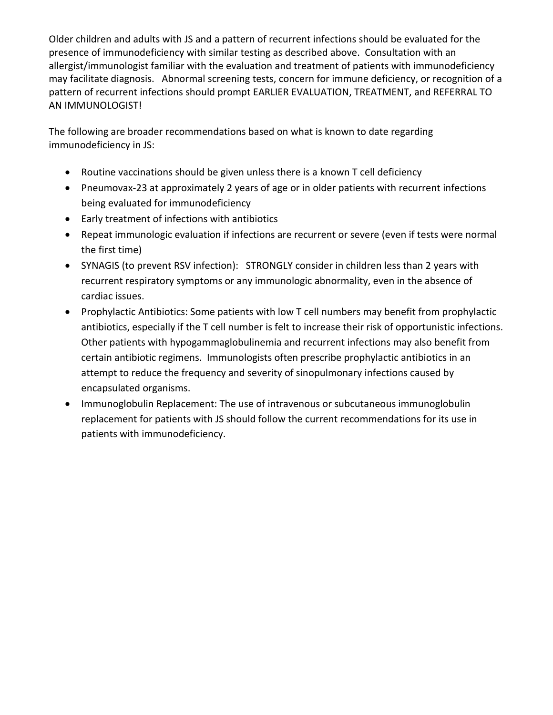Older children and adults with JS and a pattern of recurrent infections should be evaluated for the presence of immunodeficiency with similar testing as described above. Consultation with an allergist/immunologist familiar with the evaluation and treatment of patients with immunodeficiency may facilitate diagnosis. Abnormal screening tests, concern for immune deficiency, or recognition of a pattern of recurrent infections should prompt EARLIER EVALUATION, TREATMENT, and REFERRAL TO AN IMMUNOLOGIST!

The following are broader recommendations based on what is known to date regarding immunodeficiency in JS:

- Routine vaccinations should be given unless there is a known T cell deficiency
- Pneumovax-23 at approximately 2 years of age or in older patients with recurrent infections being evaluated for immunodeficiency
- Early treatment of infections with antibiotics
- Repeat immunologic evaluation if infections are recurrent or severe (even if tests were normal the first time)
- SYNAGIS (to prevent RSV infection): STRONGLY consider in children less than 2 years with recurrent respiratory symptoms or any immunologic abnormality, even in the absence of cardiac issues.
- Prophylactic Antibiotics: Some patients with low T cell numbers may benefit from prophylactic antibiotics, especially if the T cell number is felt to increase their risk of opportunistic infections. Other patients with hypogammaglobulinemia and recurrent infections may also benefit from certain antibiotic regimens. Immunologists often prescribe prophylactic antibiotics in an attempt to reduce the frequency and severity of sinopulmonary infections caused by encapsulated organisms.
- Immunoglobulin Replacement: The use of intravenous or subcutaneous immunoglobulin replacement for patients with JS should follow the current recommendations for its use in patients with immunodeficiency.